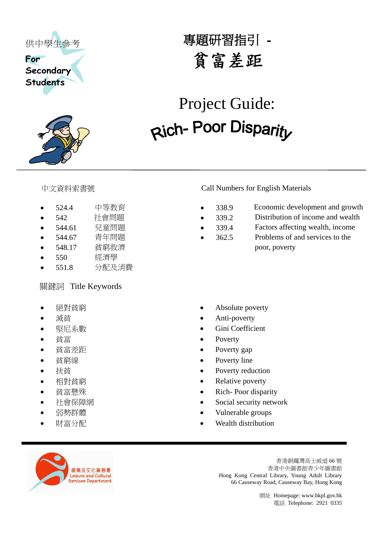



# 專題研習指引

# <del>(中学生参考)</del><br>
Students<br>
Students<br>
Students<br>
Students<br>
Telephone: 2922<br>
Telephone: 2021 Number for English Mascials<br>
<br>
Telephone: 2021<br>
1939<br>
1934 Factor Guidents<br>
1939<br>
1934 Factor Guidents<br>
1939<br>
1934 Factor Christian Conf Project Guide:

- 524.4 中等教育 338.9 Economic development and growth
- 
- 
- 
- 548.17 貧窮救濟 poor, poverty
- 550 經濟學
- 551.8 分配及消費

### 關鍵詞 Title Keywords

- 
- 
- 
- 
- 
- 
- 
- 
- 
- 
- 
- 

### 中文資料索書號 Call Numbers for English Materials

- 
- 542 社會問題 339.2 Distribution of income and wealth
- 544.61 兒童問題 339.4 Factors affecting wealth, income
	-
- 544.67 青年問題 362.5 Problems of and services to the
- 絕對貧窮 Absolute poverty
- 滅貧 Anti-poverty
- 堅尼系數 Gini Coefficient
- 貧富 Poverty
- 貧富差距 ● Poverty gap
- 貧窮線 Poverty line
- 扶貧 Poverty reduction
- 相對貧窮 Relative poverty
- 貧富懸殊 ● Rich- Poor disparity
	- 社會保障網 Social security network
	- 弱勢群體 Vulnerable groups
	- 財富分配 Wealth distribution



香港銅鑼灣高士威道 66 號 香港中央圖書館青少年圖書館 Hong Kong Central Library, Young Adult Library 66 Causeway Road, Causeway Bay, Hong Kong

網址 Homepage: www.hkpl.gov.hk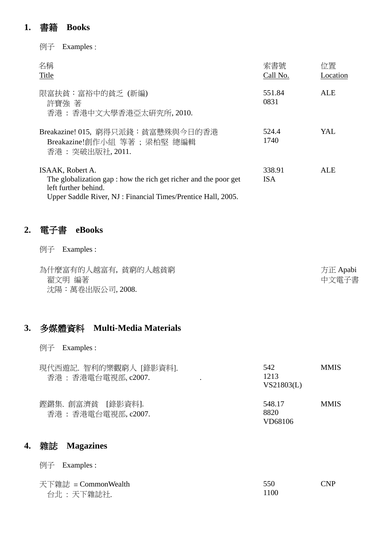### **1.** 書籍 **Books**

| Examples :<br>例子                                                                                                                                                             |                      |                |
|------------------------------------------------------------------------------------------------------------------------------------------------------------------------------|----------------------|----------------|
| 名稱<br>Title                                                                                                                                                                  | 索書號<br>Call No.      | 位置<br>Location |
| 限富扶貧:富裕中的貧乏 (新編)<br>許寶強 著<br>香港: 香港中文大學香港亞太研究所, 2010.                                                                                                                        | 551.84<br>0831       | ALE            |
| Breakazine! 015, 窮得只派錢:貧富懸殊與今日的香港<br>Breakazine!創作小組 等著; 梁柏堅 總編輯<br>香港: 突破出版社, 2011.                                                                                         | 524.4<br>1740        | YAL.           |
| ISAAK, Robert A.<br>The globalization gap : how the rich get richer and the poor get<br>left further behind.<br>Upper Saddle River, NJ: Financial Times/Prentice Hall, 2005. | 338.91<br><b>ISA</b> | ALE            |

### **2.** 電子書 **eBooks**

例子 Examples :

| 為什麼富有的人越富有,貧窮的人越貧窮 | 方正 Apabi |
|--------------------|----------|
| 翟文明 編著             | 中文電子書    |
| 沈陽:萬卷出版公司, 2008.   |          |

## **3.** 多媒體資料 **Multi-Media Materials**

例子 Examples :

| 現代西遊記.智利的樂觀窮人 [錄影資料].<br>香港: 香港電台電視部, c2007. | 542<br>1213<br>VS21803(L) | <b>MMIS</b> |
|----------------------------------------------|---------------------------|-------------|
| 鏗鏘集. 創富濟貧 「錄影資料].<br>香港: 香港電台電視部, c2007.     | 548.17<br>8820<br>VD68106 | <b>MMIS</b> |

### **4.** 雜誌 **Magazines**

例子 Examples :

| 天下雜誌 = CommonWealth | 550  | <b>CNP</b> |
|---------------------|------|------------|
| 台北 : 天下雜誌社.         | 1100 |            |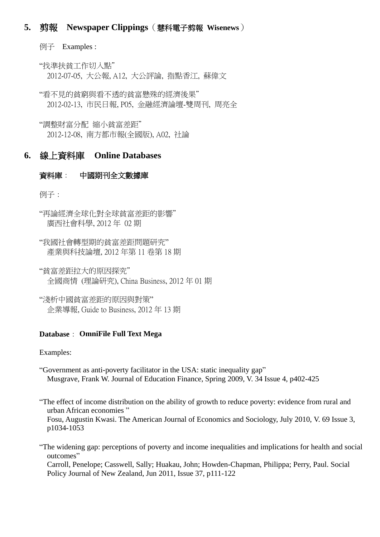### **5.** 剪報 **Newspaper Clippings**(慧科電子剪報 **Wisenews**)

例子 Examples :

"找準扶貧工作切入點" 2012-07-05, 大公報, A12, 大公評論, 指點香江, 蘇偉文

"看不見的貧窮與看不透的貧富懸殊的經濟後果" 2012-02-13, 市民日報, P05, 金融經濟論壇-雙周刊, 周亮全

"調整財富分配 縮小貧富差距" 2012-12-08, 南方都市報(全國版), A02, [社論](javascript://)

### **6.** 線上資料庫 **Online Databases**

### 資料庫: 中國期刊全文數據庫

例子:

"再論經濟全球化對全球貧富差距的影響" 廣西社會科學, 2012 年 02 期

"我國社會轉型期的貧富差距問題研究" 產業與科技論壇, 2012 年第 11 卷第 18 期

"貧富差距拉大的原因探究" 全國商情 (理論研究), China Business, 2012 年 01 期

"淺析中國貧富差距的原因與對策" 企業導報, Guide to Business, 2012 年 13 期

### **Database**: **OmniFile Full Text Mega**

Examples:

"Government as anti-poverty facilitator in the USA: static inequality gap" Musgrave, Frank W. Journal of Education Finance, Spring 2009, V. 34 Issue 4, p402-425

"The effect of income distribution on the ability of growth to reduce poverty: evidence from rural and urban African economies " Fosu, Augustin Kwasi. The American Journal of Economics and Sociology, July 2010, V. 69 Issue 3, p1034-1053

"The widening gap: perceptions of poverty and income inequalities and implications for health and social outcomes"

Carroll, Penelope; Casswell, Sally; Huakau, John; Howden-Chapman, Philippa; Perry, Paul. Social Policy Journal of New Zealand, Jun 2011, Issue 37, p111-122